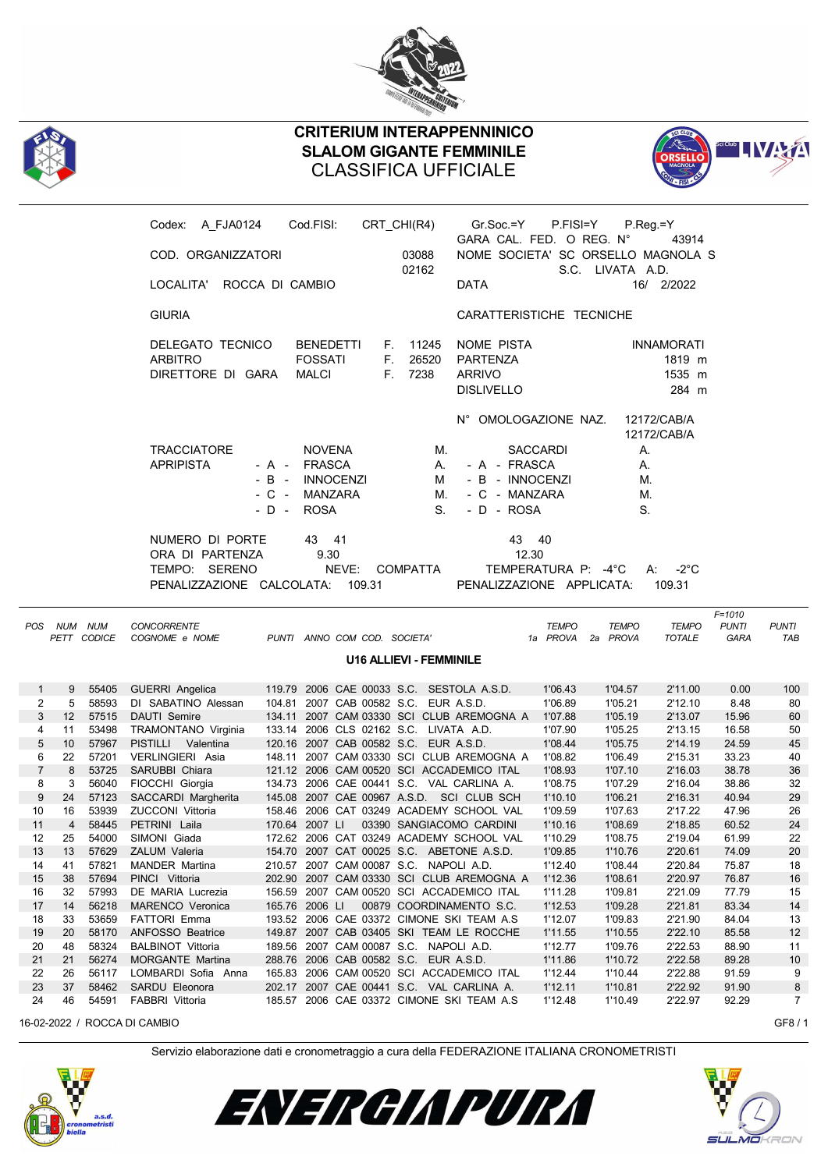



## CRITERIUM INTERAPPENNINICO SLALOM GIGANTE FEMMINILE CLASSIFICA UFFICIALE



|                |                 |             | Codex: A_FJA0124                 | Cod.FISI:                                 | CRT_CHI(R4)                    |          | Gr.Soc.=Y                                                      | P.FISI=Y            | P.Reg.=Y         |                            |              |                 |
|----------------|-----------------|-------------|----------------------------------|-------------------------------------------|--------------------------------|----------|----------------------------------------------------------------|---------------------|------------------|----------------------------|--------------|-----------------|
|                |                 |             | COD. ORGANIZZATORI               |                                           |                                | 03088    | GARA CAL. FED. O REG. N°<br>NOME SOCIETA' SC ORSELLO MAGNOLA S |                     |                  | 43914                      |              |                 |
|                |                 |             | LOCALITA' ROCCA DI CAMBIO        |                                           |                                | 02162    | <b>DATA</b>                                                    |                     | S.C. LIVATA A.D. | 16/ 2/2022                 |              |                 |
|                |                 |             | <b>GIURIA</b>                    |                                           |                                |          | CARATTERISTICHE TECNICHE                                       |                     |                  |                            |              |                 |
|                |                 |             | DELEGATO TECNICO                 | <b>BENEDETTI</b>                          |                                | F. 11245 | NOME PISTA                                                     |                     |                  | <b>INNAMORATI</b>          |              |                 |
|                |                 |             | <b>ARBITRO</b>                   | <b>FOSSATI</b>                            | F.                             | 26520    | PARTENZA                                                       |                     |                  | 1819 m                     |              |                 |
|                |                 |             | DIRETTORE DI GARA                | <b>MALCI</b>                              |                                | F. 7238  | <b>ARRIVO</b>                                                  |                     |                  | 1535 m                     |              |                 |
|                |                 |             |                                  |                                           |                                |          | <b>DISLIVELLO</b>                                              |                     |                  | 284 m                      |              |                 |
|                |                 |             |                                  |                                           |                                |          | N° OMOLOGAZIONE NAZ.                                           |                     |                  | 12172/CAB/A<br>12172/CAB/A |              |                 |
|                |                 |             | <b>TRACCIATORE</b>               | <b>NOVENA</b>                             |                                | М.       |                                                                | <b>SACCARDI</b>     | А.               |                            |              |                 |
|                |                 |             |                                  |                                           |                                |          |                                                                |                     |                  |                            |              |                 |
|                |                 |             | <b>APRIPISTA</b>                 | - A - FRASCA                              |                                | А.       | - A - FRASCA                                                   |                     | А.               |                            |              |                 |
|                |                 |             |                                  | $-B -$<br><b>INNOCENZI</b>                |                                | М        | - B - INNOCENZI                                                |                     | М.               |                            |              |                 |
|                |                 |             |                                  | $-C -$<br>MANZARA                         |                                | М.       | - C - MANZARA                                                  |                     | М.               |                            |              |                 |
|                |                 |             |                                  | ROSA<br>- D -                             |                                | S.       | - D - ROSA                                                     |                     | S.               |                            |              |                 |
|                |                 |             | NUMERO DI PORTE                  | 43 41                                     |                                |          | 43 40                                                          |                     |                  |                            |              |                 |
|                |                 |             | ORA DI PARTENZA                  | 9.30                                      |                                |          | 12.30                                                          |                     |                  |                            |              |                 |
|                |                 |             |                                  |                                           |                                | COMPATTA |                                                                |                     |                  |                            |              |                 |
|                |                 |             | TEMPO: SERENO                    | NEVE:                                     |                                |          |                                                                | TEMPERATURA P: -4°C |                  | $A: -2^{\circ}C$           |              |                 |
|                |                 |             | PENALIZZAZIONE CALCOLATA: 109.31 |                                           |                                |          | PENALIZZAZIONE APPLICATA:                                      |                     |                  | 109.31                     |              |                 |
|                |                 |             |                                  |                                           |                                |          |                                                                |                     |                  |                            | $F = 1010$   |                 |
|                | POS NUM NUM     |             | <b>CONCORRENTE</b>               |                                           |                                |          |                                                                | <b>TEMPO</b>        | <b>TEMPO</b>     | <b>TEMPO</b>               | <b>PUNTI</b> | <b>PUNTI</b>    |
|                |                 | PETT CODICE | COGNOME e NOME                   | PUNTI ANNO COM COD. SOCIETA'              |                                |          |                                                                | 1a PROVA 2a PROVA   |                  | <b>TOTALE</b>              | <b>GARA</b>  | TAB             |
|                |                 |             |                                  |                                           |                                |          |                                                                |                     |                  |                            |              |                 |
|                |                 |             |                                  |                                           | <b>U16 ALLIEVI - FEMMINILE</b> |          |                                                                |                     |                  |                            |              |                 |
| 1              | 9               |             | 55405 GUERRI Angelica            | 119.79 2006 CAE 00033 S.C. SESTOLA A.S.D. |                                |          |                                                                | 1'06.43             | 1'04.57          | 2'11.00                    | 0.00         | 100             |
| $\overline{2}$ | 5 <sup>5</sup>  | 58593       | DI SABATINO Alessan              | 104.81 2007 CAB 00582 S.C. EUR A.S.D.     |                                |          |                                                                | 1'06.89             | 1'05.21          | 2'12.10                    | 8.48         | 80              |
| 3              | 12              | 57515       | DAUTI Semire                     | 134.11 2007 CAM 03330 SCI CLUB AREMOGNA A |                                |          |                                                                | 1'07.88             | 1'05.19          | 2'13.07                    | 15.96        | 60              |
| 4              | 11              | 53498       | TRAMONTANO Virginia              | 133.14 2006 CLS 02162 S.C. LIVATA A.D.    |                                |          |                                                                | 1'07.90             | 1'05.25          | 2'13.15                    | 16.58        | 50              |
| 5              | 10 <sup>1</sup> | 57967       | PISTILLI Valentina               | 120.16 2007 CAB 00582 S.C. EUR A.S.D.     |                                |          |                                                                | 1'08.44             | 1'05.75          | 2'14.19                    | 24.59        | 45              |
| 6              | 22              | 57201       | VERLINGIERI Asia                 | 148.11 2007 CAM 03330 SCI CLUB AREMOGNA A |                                |          |                                                                | 1'08.82             | 1'06.49          | 2'15.31                    | 33.23        | 40              |
| $\overline{7}$ | 8               | 53725       | SARUBBI Chiara                   | 121.12 2006 CAM 00520 SCI ACCADEMICO ITAL |                                |          |                                                                | 1'08.93             | 1'07.10          | 2'16.03                    | 38.78        | 36              |
| 8              | 3               | 56040       | FIOCCHI Giorgia                  | 134.73 2006 CAE 00441 S.C. VAL CARLINA A. |                                |          |                                                                | 1'08.75             | 1'07.29          | 2'16.04                    | 38.86        | 32              |
| 9              | 24              | 57123       | SACCARDI Margherita              | 145.08 2007 CAE 00967 A.S.D. SCI CLUB SCH |                                |          |                                                                | 1'10.10             | 1'06.21          | 2'16.31                    | 40.94        | 29              |
| 10             | 16              | 53939       | <b>ZUCCONI Vittoria</b>          | 158.46 2006 CAT 03249 ACADEMY SCHOOL VAL  |                                |          |                                                                | 1'09.59             | 1'07.63          | 2'17.22                    | 47.96        | 26              |
| 11             | $\overline{4}$  | 58445       | PETRINI Laila                    | 170.64 2007 LI                            |                                |          | 03390 SANGIACOMO CARDINI                                       | 1'10.16             | 1'08.69          | 2'18.85                    | 60.52        | 24              |
| 12             |                 |             | 25 54000 SIMONI Giada            | 172.62 2006 CAT 03249 ACADEMY SCHOOL VAL  |                                |          |                                                                | 1'10.29             | 1'08.75          | 2'19.04                    | 61.99        | 22              |
| 13             | 13              | 57629       | ZALUM Valeria                    | 154.70 2007 CAT 00025 S.C. ABETONE A.S.D. |                                |          |                                                                | 1'09.85             | 1'10.76          | 2'20.61                    | 74.09        | 20              |
| 14             | 41              | 57821       | <b>MANDER Martina</b>            | 210.57 2007 CAM 00087 S.C. NAPOLI A.D.    |                                |          |                                                                | 1'12.40             | 1'08.44          | 2'20.84                    | 75.87        | 18              |
| 15             | 38              | 57694       | PINCI Vittoria                   | 202.90 2007 CAM 03330 SCI CLUB AREMOGNA A |                                |          |                                                                | 1'12.36             | 1'08.61          | 2'20.97                    | 76.87        | 16              |
| 16             | 32              | 57993       | DE MARIA Lucrezia                | 156.59 2007 CAM 00520 SCI ACCADEMICO ITAL |                                |          |                                                                | 1'11.28             | 1'09.81          | 2'21.09                    | 77.79        | 15              |
| 17             | 14              | 56218       | <b>MARENCO Veronica</b>          | 165.76 2006 LI                            |                                |          | 00879 COORDINAMENTO S.C.                                       | 1'12.53             | 1'09.28          | 2'21.81                    | 83.34        | 14              |
| 18             | 33              | 53659       | <b>FATTORI</b> Emma              | 193.52 2006 CAE 03372 CIMONE SKI TEAM A.S |                                |          |                                                                | 1'12.07             | 1'09.83          | 2'21.90                    | 84.04        | 13              |
| 19             | 20              | 58170       | ANFOSSO Beatrice                 | 149.87 2007 CAB 03405 SKI TEAM LE ROCCHE  |                                |          |                                                                | 1'11.55             | 1'10.55          | 2'22.10                    | 85.58        | 12              |
| 20             | 48              | 58324       | <b>BALBINOT Vittoria</b>         | 189.56 2007 CAM 00087 S.C. NAPOLI A.D.    |                                |          |                                                                | 1'12.77             | 1'09.76          | 2'22.53                    | 88.90        | 11              |
| 21             | 21              | 56274       | MORGANTE Martina                 | 288.76 2006 CAB 00582 S.C. EUR A.S.D.     |                                |          |                                                                | 1'11.86             | 1'10.72          | 2'22.58                    | 89.28        | 10 <sup>°</sup> |
| 22             | 26              | 56117       | LOMBARDI Sofia Anna              | 165.83 2006 CAM 00520 SCI ACCADEMICO ITAL |                                |          |                                                                | 1'12.44             | 1'10.44          | 2'22.88                    | 91.59        | 9               |
| 23             | 37              | 58462       | SARDU Eleonora                   | 202.17 2007 CAE 00441 S.C. VAL CARLINA A. |                                |          |                                                                | 1'12.11             | 1'10.81          | 2'22.92                    | 91.90        | 8               |
| 24             | 46              | 54591       | FABBRI Vittoria                  | 185.57 2006 CAE 03372 CIMONE SKI TEAM A.S |                                |          |                                                                | 1'12.48             | 1'10.49          | 2'22.97                    | 92.29        | $7^{\circ}$     |
|                |                 |             |                                  |                                           |                                |          |                                                                |                     |                  |                            |              |                 |
|                |                 |             | 16-02-2022 / ROCCA DI CAMBIO     |                                           |                                |          |                                                                |                     |                  |                            |              | GF8/1           |

Servizio elaborazione dati e cronometraggio a cura della FEDERAZIONE ITALIANA CRONOMETRISTI



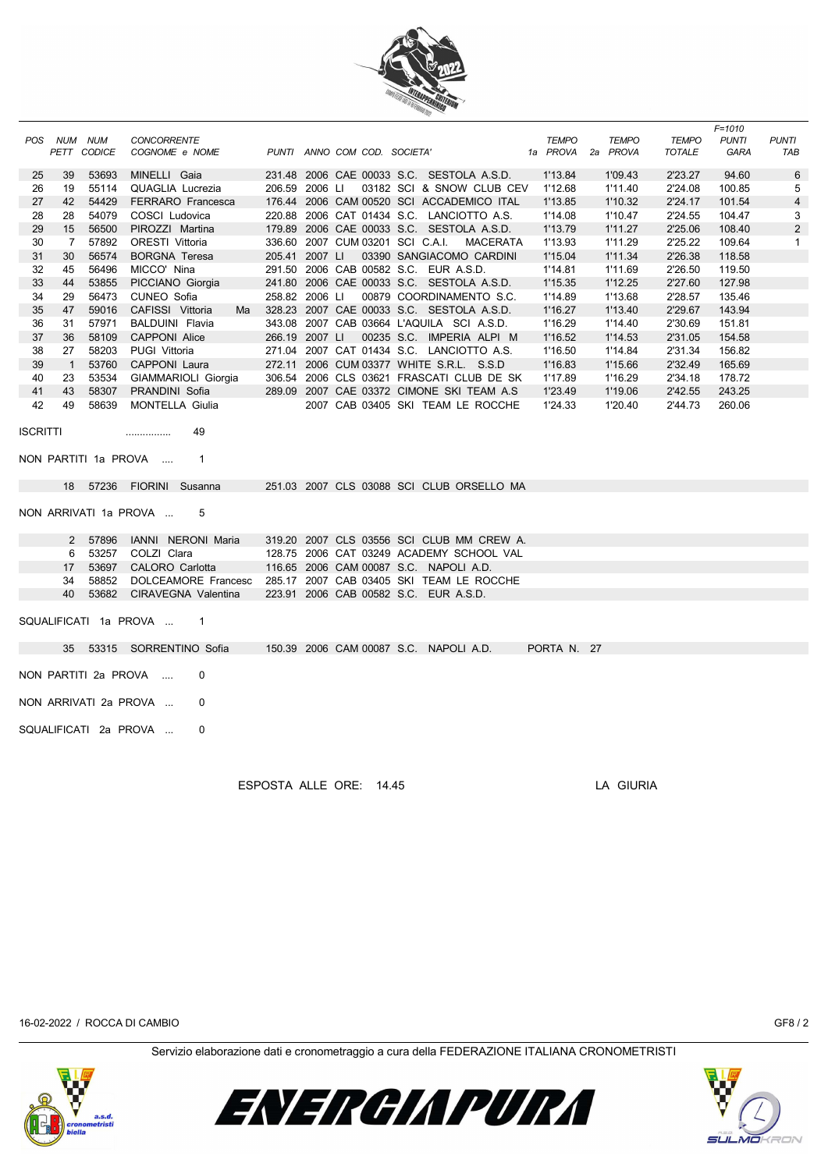

|                 |                 |                |                                                                                            |                |                                       |                                           |                          |                          |                               | $F = 1010$                  |                     |
|-----------------|-----------------|----------------|--------------------------------------------------------------------------------------------|----------------|---------------------------------------|-------------------------------------------|--------------------------|--------------------------|-------------------------------|-----------------------------|---------------------|
|                 | POS NUM NUM     | PETT CODICE    | <b>CONCORRENTE</b><br>COGNOME e NOME                                                       |                | PUNTI ANNO COM COD. SOCIETA'          |                                           | <b>TEMPO</b><br>1a PROVA | <b>TEMPO</b><br>2a PROVA | <b>TEMPO</b><br><b>TOTALE</b> | <b>PUNTI</b><br><b>GARA</b> | <b>PUNTI</b><br>TAB |
| 25              | 39              | 53693          | MINELLI Gaia                                                                               |                |                                       | 231.48 2006 CAE 00033 S.C. SESTOLA A.S.D. | 1'13.84                  | 1'09.43                  | 2'23.27                       | 94.60                       | $\,6$               |
| 26              | 19              | 55114          | <b>QUAGLIA Lucrezia</b>                                                                    | 206.59 2006 LI |                                       | 03182 SCI & SNOW CLUB CEV                 | 1'12.68                  | 1'11.40                  | 2'24.08                       | 100.85                      | 5                   |
| 27              | 42              | 54429          | FERRARO Francesca                                                                          |                |                                       | 176.44 2006 CAM 00520 SCI ACCADEMICO ITAL | 1'13.85                  | 1'10.32                  | 2'24.17                       | 101.54                      | 4                   |
| 28              | 28              | 54079          | COSCI Ludovica                                                                             |                |                                       | 220.88 2006 CAT 01434 S.C. LANCIOTTO A.S. | 1'14.08                  | 1'10.47                  | 2'24.55                       | 104.47                      | 3                   |
| 29              | 15              | 56500          | PIROZZI Martina                                                                            |                |                                       | 179.89 2006 CAE 00033 S.C. SESTOLA A.S.D. | 1'13.79                  | 1'11.27                  | 2'25.06                       | 108.40                      | $\overline{2}$      |
| 30              | $7\overline{ }$ | 57892          | <b>ORESTI Vittoria</b>                                                                     |                | 336.60 2007 CUM 03201 SCI C.A.I.      | MACERATA                                  | 1'13.93                  | 1'11.29                  | 2'25.22                       | 109.64                      | $\mathbf{1}$        |
| 31              | 30              | 56574          | <b>BORGNA Teresa</b>                                                                       | 205.41 2007 LI |                                       | 03390 SANGIACOMO CARDINI                  | 1'15.04                  | 1'11.34                  | 2'26.38                       | 118.58                      |                     |
| 32              | 45              | 56496          | MICCO' Nina                                                                                |                | 291.50 2006 CAB 00582 S.C. EUR A.S.D. |                                           | 1'14.81                  | 1'11.69                  | 2'26.50                       | 119.50                      |                     |
| 33              | 44              | 53855          | PICCIANO Giorgia                                                                           |                |                                       | 241.80 2006 CAE 00033 S.C. SESTOLA A.S.D. | 1'15.35                  | 1'12.25                  | 2'27.60                       | 127.98                      |                     |
| 34              | 29              | 56473          | CUNEO Sofia                                                                                | 258.82 2006 LI |                                       | 00879 COORDINAMENTO S.C.                  | 1'14.89                  | 1'13.68                  | 2'28.57                       | 135.46                      |                     |
| 35              | 47              | 59016          | CAFISSI Vittoria<br>Ma                                                                     |                |                                       | 328.23 2007 CAE 00033 S.C. SESTOLA A.S.D. | 1'16.27                  | 1'13.40                  | 2'29.67                       | 143.94                      |                     |
| 36              | 31              | 57971          | <b>BALDUINI</b> Flavia                                                                     |                |                                       | 343.08 2007 CAB 03664 L'AQUILA SCI A.S.D. | 1'16.29                  | 1'14.40                  | 2'30.69                       | 151.81                      |                     |
| 37              | 36              | 58109          | <b>CAPPONI Alice</b>                                                                       | 266.19 2007 LI |                                       | 00235 S.C. IMPERIA ALPI M                 | 1'16.52                  | 1'14.53                  | 2'31.05                       | 154.58                      |                     |
| 38              | 27              | 58203          | PUGI Vittoria                                                                              |                |                                       | 271.04 2007 CAT 01434 S.C. LANCIOTTO A.S. | 1'16.50                  | 1'14.84                  | 2'31.34                       | 156.82                      |                     |
| 39              | $\overline{1}$  | 53760          | CAPPONI Laura                                                                              |                |                                       | 272.11 2006 CUM 03377 WHITE S.R.L. S.S.D  | 1'16.83                  | 1'15.66                  | 2'32.49                       | 165.69                      |                     |
| 40              | 23              | 53534          | GIAMMARIOLI Giorgia                                                                        |                |                                       | 306.54 2006 CLS 03621 FRASCATI CLUB DE SK | 1'17.89                  | 1'16.29                  | 2'34.18                       | 178.72                      |                     |
| 41              | 43              | 58307          | PRANDINI Sofia                                                                             |                |                                       | 289.09 2007 CAE 03372 CIMONE SKI TEAM A.S | 1'23.49                  | 1'19.06                  | 2'42.55                       | 243.25                      |                     |
| 42              | 49              | 58639          | <b>MONTELLA Giulia</b>                                                                     |                |                                       | 2007 CAB 03405 SKI TEAM LE ROCCHE         | 1'24.33                  | 1'20.40                  | 2'44.73                       | 260.06                      |                     |
| <b>ISCRITTI</b> |                 |                | 49<br>.<br>NON PARTITI 1a PROVA<br>$\mathbf{1}$                                            |                |                                       |                                           |                          |                          |                               |                             |                     |
|                 |                 |                | 18 57236 FIORINI Susanna                                                                   |                |                                       | 251.03 2007 CLS 03088 SCI CLUB ORSELLO MA |                          |                          |                               |                             |                     |
|                 |                 |                | NON ARRIVATI 1a PROVA<br>5                                                                 |                |                                       |                                           |                          |                          |                               |                             |                     |
|                 |                 | 2 57896        | IANNI NERONI Maria                                                                         |                |                                       | 319.20 2007 CLS 03556 SCI CLUB MM CREW A. |                          |                          |                               |                             |                     |
|                 | 6               | 53257          | COLZI Clara                                                                                |                |                                       | 128.75 2006 CAT 03249 ACADEMY SCHOOL VAL  |                          |                          |                               |                             |                     |
|                 | 17              | 53697<br>58852 | CALORO Carlotta                                                                            |                |                                       | 116.65 2006 CAM 00087 S.C. NAPOLI A.D.    |                          |                          |                               |                             |                     |
|                 | 34<br>40        | 53682          | DOLCEAMORE Francesc 285.17 2007 CAB 03405 SKI TEAM LE ROCCHE<br><b>CIRAVEGNA Valentina</b> |                | 223.91 2006 CAB 00582 S.C. EUR A.S.D. |                                           |                          |                          |                               |                             |                     |
|                 |                 |                |                                                                                            |                |                                       |                                           |                          |                          |                               |                             |                     |
|                 |                 |                | SQUALIFICATI 1a PROVA<br>$\mathbf{1}$                                                      |                |                                       |                                           |                          |                          |                               |                             |                     |
|                 | 35              |                | 53315 SORRENTINO Sofia                                                                     |                |                                       | 150.39 2006 CAM 00087 S.C. NAPOLI A.D.    | PORTA N. 27              |                          |                               |                             |                     |
|                 |                 |                | NON PARTITI 2a PROVA<br>0                                                                  |                |                                       |                                           |                          |                          |                               |                             |                     |
|                 |                 |                | NON ARRIVATI 2a PROVA<br>0                                                                 |                |                                       |                                           |                          |                          |                               |                             |                     |
|                 |                 |                |                                                                                            |                |                                       |                                           |                          |                          |                               |                             |                     |
|                 |                 |                | SQUALIFICATI 2a PROVA<br>0                                                                 |                |                                       |                                           |                          |                          |                               |                             |                     |

ESPOSTA ALLE ORE: 14.45 LA GIURIA

16-02-2022 / ROCCA DI CAMBIO GF8 / 2

Servizio elaborazione dati e cronometraggio a cura della FEDERAZIONE ITALIANA CRONOMETRISTI



ENERGIAPURA

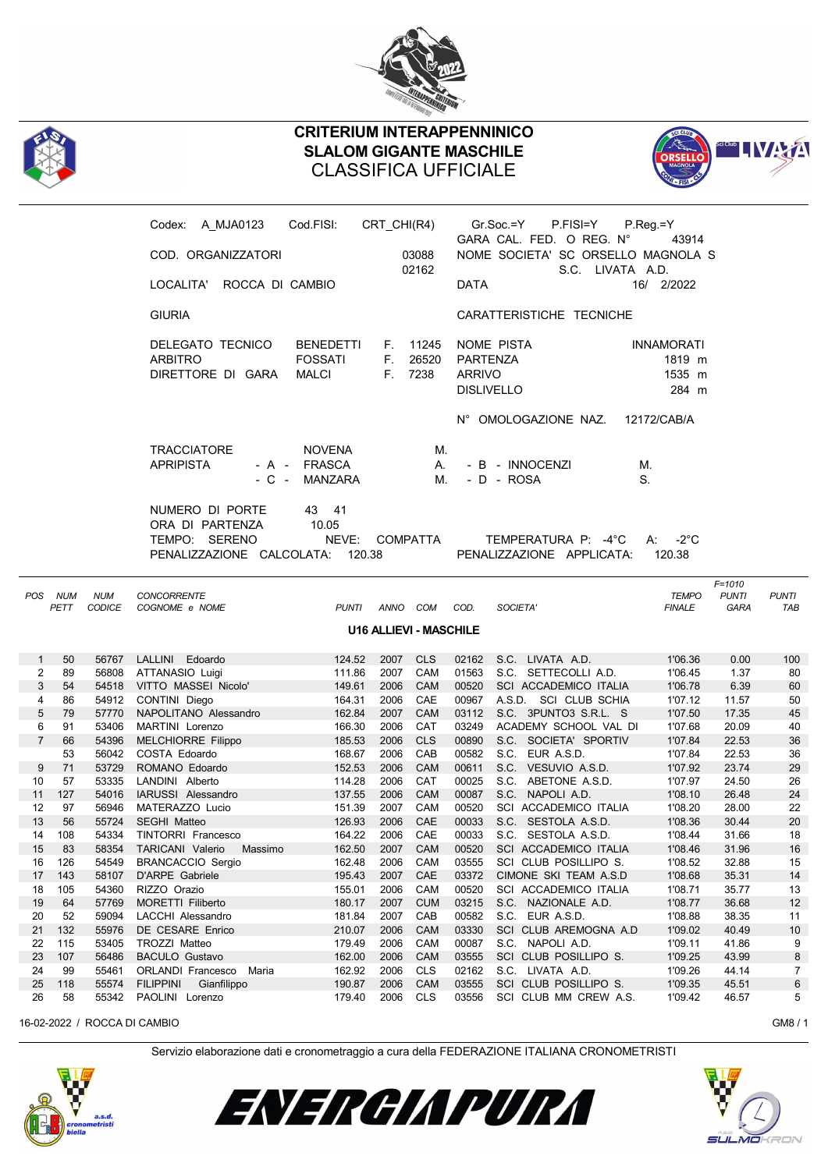



## CRITERIUM INTERAPPENNINICO SLALOM GIGANTE MASCHILE CLASSIFICA UFFICIALE



|                   |                               |                             | Codex: A_MJA0123                                                     | Cod.FISI:                                          | CRT_CHI(R4)               |                   | Gr.Soc.=Y                                                    | P.FISI=Y<br>GARA CAL. FED. O REG. N°                   | $P_{\cdot}$ Reg = Y<br>43914                   |                                           |                     |  |  |
|-------------------|-------------------------------|-----------------------------|----------------------------------------------------------------------|----------------------------------------------------|---------------------------|-------------------|--------------------------------------------------------------|--------------------------------------------------------|------------------------------------------------|-------------------------------------------|---------------------|--|--|
|                   |                               |                             | COD. ORGANIZZATORI                                                   |                                                    |                           | 03088<br>02162    |                                                              | NOME SOCIETA' SC ORSELLO MAGNOLA S<br>S.C. LIVATA A.D. |                                                |                                           |                     |  |  |
|                   |                               |                             | LOCALITA' ROCCA DI CAMBIO                                            |                                                    |                           |                   | <b>DATA</b>                                                  |                                                        | 16/ 2/2022                                     |                                           |                     |  |  |
|                   |                               |                             | <b>GIURIA</b>                                                        |                                                    |                           |                   |                                                              | CARATTERISTICHE TECNICHE                               |                                                |                                           |                     |  |  |
|                   |                               |                             | DELEGATO TECNICO<br><b>ARBITRO</b><br>DIRETTORE DI GARA              | <b>BENEDETTI</b><br><b>FOSSATI</b><br><b>MALCI</b> | F. 11245<br>F.<br>F. 7238 | 26520             | NOME PISTA<br>PARTENZA<br><b>ARRIVO</b><br><b>DISLIVELLO</b> |                                                        | <b>INNAMORATI</b><br>1819 m<br>1535 m<br>284 m |                                           |                     |  |  |
|                   |                               |                             | <b>TRACCIATORE</b><br><b>APRIPISTA</b><br>- C -<br>NUMERO DI PORTE   | <b>NOVENA</b><br>- A - FRASCA<br>MANZARA<br>43 41  |                           | М.<br>А.<br>М.    | N° OMOLOGAZIONE NAZ.<br>- B - INNOCENZI<br>- D - ROSA        |                                                        | 12172/CAB/A<br>М.<br>S.                        |                                           |                     |  |  |
|                   |                               |                             | ORA DI PARTENZA<br>TEMPO: SERENO<br>PENALIZZAZIONE CALCOLATA: 120.38 | 10.05<br>NEVE: COMPATTA                            |                           |                   |                                                              | TEMPERATURA P: -4°C<br>PENALIZZAZIONE APPLICATA:       | $-2^{\circ}$ C<br>A:<br>120.38                 |                                           |                     |  |  |
| POS               | <b>NUM</b><br>PETT            | <b>NUM</b><br><b>CODICE</b> | <b>CONCORRENTE</b><br>COGNOME e NOME                                 | <b>PUNTI</b>                                       | ANNO COM                  | COD.              | SOCIETA'                                                     |                                                        | <b>TEMPO</b><br><b>FINALE</b>                  | $F = 1010$<br><b>PUNTI</b><br><b>GARA</b> | <b>PUNTI</b><br>TAB |  |  |
|                   | <b>U16 ALLIEVI - MASCHILE</b> |                             |                                                                      |                                                    |                           |                   |                                                              |                                                        |                                                |                                           |                     |  |  |
|                   |                               |                             |                                                                      |                                                    |                           |                   |                                                              |                                                        |                                                |                                           |                     |  |  |
|                   | 50                            |                             |                                                                      | 124.52                                             |                           |                   | 02162                                                        |                                                        | 1'06.36                                        |                                           | 100                 |  |  |
| $\mathbf{1}$<br>2 | 89                            |                             | 56767 LALLINI Edoardo                                                | 111.86                                             | 2007 CLS<br>2007          | CAM               |                                                              | S.C. LIVATA A.D.<br>01563 S.C. SETTECOLLI A.D.         | 1'06.45                                        | 0.00<br>1.37                              | 80                  |  |  |
| 3                 | 54                            |                             | 56808 ATTANASIO Luigi<br>54518 VITTO MASSEI Nicolo'                  | 149.61                                             | 2006                      | CAM               | 00520                                                        | SCI ACCADEMICO ITALIA                                  | 1'06.78                                        | 6.39                                      | 60                  |  |  |
| 4                 | 86                            | 54912                       | CONTINI Diego                                                        | 164.31                                             | 2006                      | CAE               | 00967                                                        | A.S.D. SCI CLUB SCHIA                                  | 1'07.12                                        | 11.57                                     | 50                  |  |  |
| 5                 | 79                            |                             | 57770 NAPOLITANO Alessandro                                          | 162.84                                             | 2007                      | CAM               | 03112                                                        | S.C. 3PUNTO3 S.R.L. S                                  | 1'07.50                                        | 17.35                                     | 45                  |  |  |
| 6                 | 91                            | 53406                       | MARTINI Lorenzo                                                      | 166.30                                             | 2006                      | CAT               | 03249                                                        | ACADEMY SCHOOL VAL DI                                  | 1'07.68                                        | 20.09                                     | 40                  |  |  |
| $\overline{7}$    | 66                            | 54396                       | <b>MELCHIORRE Filippo</b>                                            | 185.53                                             | 2006                      | <b>CLS</b>        | 00890                                                        | S.C. SOCIETA' SPORTIV                                  | 1'07.84                                        | 22.53                                     | 36                  |  |  |
|                   | 53                            | 56042                       | COSTA Edoardo                                                        | 168.67                                             | 2006                      | CAB               | 00582                                                        | S.C. EUR A.S.D.                                        | 1'07.84                                        | 22.53                                     | 36                  |  |  |
| 9                 | 71                            | 53729                       | ROMANO Edoardo                                                       | 152.53                                             | 2006                      | <b>CAM</b>        | 00611                                                        | S.C. VESUVIO A.S.D.                                    | 1'07.92                                        | 23.74                                     | 29                  |  |  |
| 10                | 57                            | 53335                       | LANDINI Alberto                                                      | 114.28                                             | 2006                      | CAT               | 00025                                                        | S.C. ABETONE A.S.D.                                    | 1'07.97                                        | 24.50                                     | 26                  |  |  |
| 11                | 127                           | 54016                       | IARUSSI Alessandro                                                   | 137.55                                             | 2006                      | <b>CAM</b>        | 00087                                                        | S.C. NAPOLI A.D.                                       | 1'08.10                                        | 26.48                                     | 24                  |  |  |
| 12                | 97                            | 56946                       | MATERAZZO Lucio                                                      | 151.39                                             | 2007                      | CAM               | 00520                                                        | SCI ACCADEMICO ITALIA                                  | 1'08.20                                        | 28.00                                     | 22                  |  |  |
| 13                | 56                            | 55724                       | <b>SEGHI Matteo</b>                                                  | 126.93                                             | 2006                      | CAE               | 00033                                                        | S.C. SESTOLA A.S.D.                                    | 1'08.36                                        | 30.44                                     | 20                  |  |  |
| 14                | 108                           | 54334                       | TINTORRI Francesco                                                   | 164.22                                             | 2006                      | CAE               | 00033                                                        | S.C. SESTOLA A.S.D.                                    | 1'08.44                                        | 31.66                                     | 18                  |  |  |
| 15                | 83                            | 58354                       | TARICANI Valerio<br>Massimo                                          | 162.50                                             | 2007                      | <b>CAM</b>        | 00520                                                        | SCI ACCADEMICO ITALIA                                  | 1'08.46                                        | 31.96                                     | 16                  |  |  |
| 16                | 126                           | 54549                       | <b>BRANCACCIO Sergio</b>                                             | 162.48                                             | 2006                      | CAM               | 03555                                                        | SCI CLUB POSILLIPO S.                                  | 1'08.52                                        | 32.88                                     | 15                  |  |  |
| 17                | 143                           | 58107                       | D'ARPE Gabriele                                                      | 195.43                                             | 2007                      | CAE               | 03372                                                        | CIMONE SKI TEAM A.S.D                                  | 1'08.68                                        | 35.31                                     | 14                  |  |  |
| 18                | 105                           | 54360                       | RIZZO Orazio                                                         | 155.01                                             | 2006                      | CAM               | 00520                                                        | SCI ACCADEMICO ITALIA                                  | 1'08.71                                        | 35.77                                     | 13                  |  |  |
| 19                | 64                            | 57769                       | <b>MORETTI Filiberto</b>                                             | 180.17                                             | 2007                      | <b>CUM</b>        | 03215                                                        | S.C. NAZIONALE A.D.                                    | 1'08.77                                        | 36.68                                     | 12                  |  |  |
| 20                | 52                            | 59094                       | LACCHI Alessandro                                                    | 181.84                                             | 2007                      | CAB               | 00582                                                        | S.C. EUR A.S.D.                                        | 1'08.88                                        | 38.35                                     | 11                  |  |  |
| 21                | 132                           | 55976                       | DE CESARE Enrico                                                     | 210.07                                             | 2006                      | CAM               | 03330                                                        | SCI CLUB AREMOGNA A.D                                  | 1'09.02                                        | 40.49                                     | 10                  |  |  |
| 22                | 115                           | 53405                       | TROZZI Matteo                                                        | 179.49                                             | 2006                      | CAM               | 00087                                                        | S.C. NAPOLI A.D.                                       | 1'09.11                                        | 41.86                                     | 9                   |  |  |
| 23                | 107                           | 56486                       | <b>BACULO Gustavo</b>                                                | 162.00                                             | 2006                      | <b>CAM</b>        | 03555                                                        | SCI CLUB POSILLIPO S.                                  | 1'09.25                                        | 43.99                                     | 8                   |  |  |
| 24<br>25          | 99<br>118                     | 55461<br>55574              | ORLANDI Francesco Maria<br><b>FILIPPINI</b><br>Gianfilippo           | 162.92<br>190.87                                   | 2006<br>2006              | <b>CLS</b><br>CAM | 02162<br>03555                                               | S.C. LIVATA A.D.<br>SCI CLUB POSILLIPO S.              | 1'09.26<br>1'09.35                             | 44.14<br>45.51                            | 7<br>6              |  |  |

16-02-2022 / ROCCA DI CAMBIO GM8 / 1

Servizio elaborazione dati e cronometraggio a cura della FEDERAZIONE ITALIANA CRONOMETRISTI





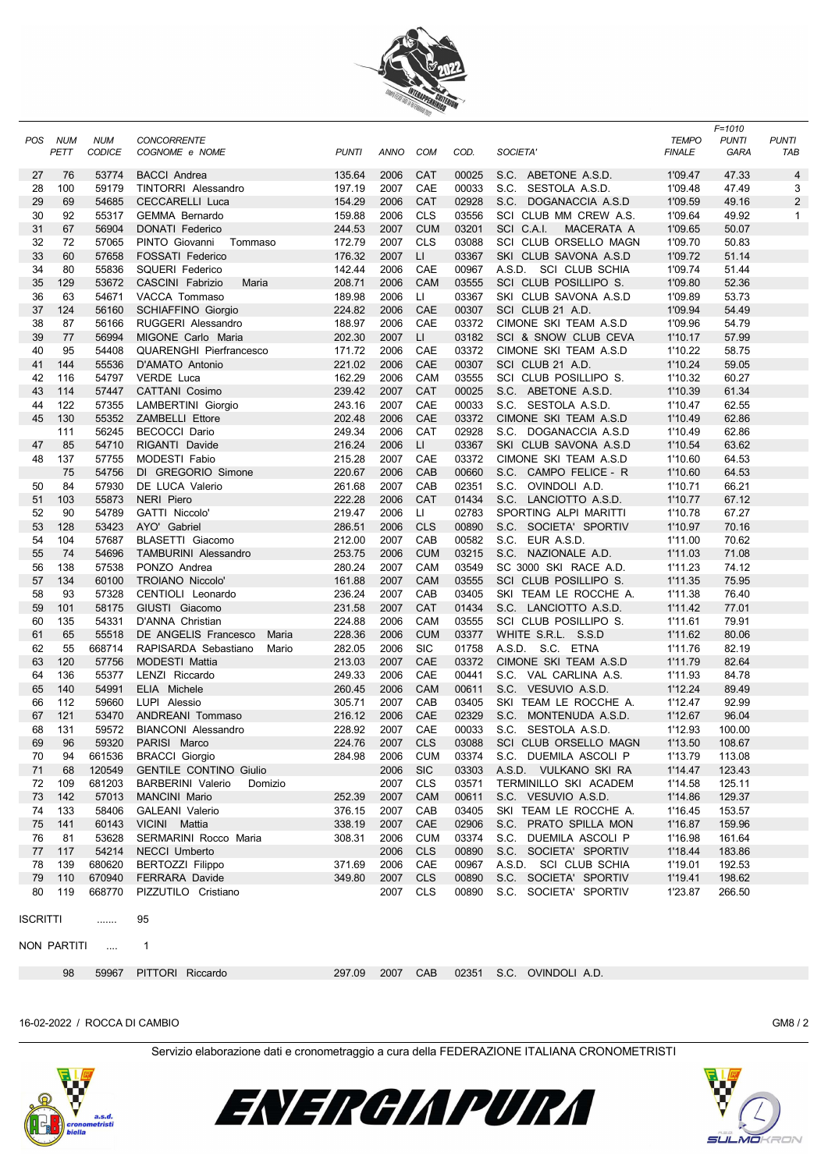

| POS      | NUM         | <b>NUM</b>     | <b>CONCORRENTE</b>                     |                  |              |            |                |                                                | <b>TEMPO</b>       | F=1010<br><b>PUNTI</b> | <b>PUNTI</b>   |
|----------|-------------|----------------|----------------------------------------|------------------|--------------|------------|----------------|------------------------------------------------|--------------------|------------------------|----------------|
|          | PETT        | <b>CODICE</b>  | COGNOME e NOME                         | <b>PUNTI</b>     | ANNO         | <b>COM</b> | COD.           | <b>SOCIETA</b>                                 | <b>FINALE</b>      | GARA                   | TAB            |
| 27       | 76          | 53774          | <b>BACCI</b> Andrea                    | 135.64           | 2006         | <b>CAT</b> | 00025          | S.C. ABETONE A.S.D.                            | 1'09.47            | 47.33                  | 4              |
| 28       | 100         | 59179          | TINTORRI Alessandro                    | 197.19           | 2007         | CAE        | 00033          | S.C. SESTOLA A.S.D.                            | 1'09.48            | 47.49                  | 3              |
| 29       | 69          | 54685          | <b>CECCARELLI Luca</b>                 | 154.29           | 2006         | CAT        | 02928          | S.C. DOGANACCIA A.S.D                          | 1'09.59            | 49.16                  | $\overline{2}$ |
| 30       | 92          | 55317          | <b>GEMMA Bernardo</b>                  | 159.88           | 2006         | <b>CLS</b> | 03556          | SCI CLUB MM CREW A.S.                          | 1'09.64            | 49.92                  | 1              |
| 31       | 67          | 56904          | <b>DONATI Federico</b>                 | 244.53           | 2007         | <b>CUM</b> | 03201          | SCI C.A.I.<br>MACERATA A                       | 1'09.65            | 50.07                  |                |
| 32       | 72          | 57065          | PINTO Giovanni<br>Tommaso              | 172.79           | 2007         | <b>CLS</b> | 03088          | SCI CLUB ORSELLO MAGN                          | 1'09.70            | 50.83                  |                |
| 33       | 60          | 57658          | <b>FOSSATI Federico</b>                | 176.32           | 2007         | LI         | 03367          | SKI CLUB SAVONA A.S.D                          | 1'09.72            | 51.14                  |                |
| 34       | 80          | 55836          | <b>SQUERI Federico</b>                 | 142.44           | 2006         | CAE        | 00967          | A.S.D. SCI CLUB SCHIA                          | 1'09.74            | 51.44                  |                |
| 35       | 129         | 53672          | CASCINI Fabrizio<br>Maria              | 208.71           | 2006         | CAM        | 03555          | SCI CLUB POSILLIPO S.                          | 1'09.80            | 52.36                  |                |
| 36       | 63          | 54671          | VACCA Tommaso                          | 189.98           | 2006         | Ш          | 03367          | SKI CLUB SAVONA A.S.D                          | 1'09.89            | 53.73                  |                |
| 37       | 124         | 56160          | <b>SCHIAFFINO Giorgio</b>              | 224.82           | 2006         | CAE        | 00307          | SCI CLUB 21 A.D.                               | 1'09.94            | 54.49                  |                |
| 38       | 87          | 56166          | RUGGERI Alessandro                     | 188.97           | 2006         | CAE        | 03372          | CIMONE SKI TEAM A.S.D                          | 1'09.96            | 54.79                  |                |
| 39       | 77          | 56994          | MIGONE Carlo Maria                     | 202.30           | 2007         | LI         | 03182          | SCI & SNOW CLUB CEVA                           | 1'10.17            | 57.99                  |                |
| 40       | 95          | 54408          | <b>QUARENGHI Pierfrancesco</b>         | 171.72           | 2006         | CAE        | 03372          | CIMONE SKI TEAM A.S.D                          | 1'10.22            | 58.75                  |                |
| 41       | 144         | 55536          | D'AMATO Antonio                        | 221.02           | 2006         | CAE        | 00307          | SCI CLUB 21 A.D.                               | 1'10.24            | 59.05                  |                |
| 42       | 116         | 54797          | <b>VERDE Luca</b>                      | 162.29           | 2006         | CAM        | 03555          | SCI CLUB POSILLIPO S.                          | 1'10.32            | 60.27                  |                |
| 43       | 114         | 57447          | <b>CATTANI Cosimo</b>                  | 239.42           | 2007         | <b>CAT</b> | 00025          | S.C. ABETONE A.S.D.                            | 1'10.39            | 61.34                  |                |
| 44       | 122         | 57355          | LAMBERTINI Giorgio                     | 243.16           | 2007         | CAE        | 00033          | S.C. SESTOLA A.S.D.                            | 1'10.47            | 62.55                  |                |
| 45       | 130         | 55352          | <b>ZAMBELLI Ettore</b>                 | 202.48           | 2006         | CAE        | 03372          | CIMONE SKI TEAM A.S.D                          | 1'10.49            | 62.86                  |                |
|          | 111<br>85   | 56245          | <b>BECOCCI Dario</b><br>RIGANTI Davide | 249.34           | 2006         | CAT        | 02928          | S.C. DOGANACCIA A.S.D                          | 1'10.49            | 62.86                  |                |
| 47<br>48 |             | 54710          |                                        | 216.24           | 2006         | LI.        | 03367          | SKI CLUB SAVONA A.S.D                          | 1'10.54            | 63.62                  |                |
|          | 137<br>75   | 57755<br>54756 | MODESTI Fabio<br>DI GREGORIO Simone    | 215.28<br>220.67 | 2007<br>2006 | CAE<br>CAB | 03372<br>00660 | CIMONE SKI TEAM A.S.D<br>S.C. CAMPO FELICE - R | 1'10.60<br>1'10.60 | 64.53<br>64.53         |                |
|          | 84          |                |                                        |                  |              | CAB        |                | S.C. OVINDOLI A.D.                             |                    |                        |                |
| 50<br>51 | 103         | 57930<br>55873 | DE LUCA Valerio<br><b>NERI Piero</b>   | 261.68<br>222.28 | 2007<br>2006 | <b>CAT</b> | 02351<br>01434 | S.C. LANCIOTTO A.S.D.                          | 1'10.71<br>1'10.77 | 66.21<br>67.12         |                |
| 52       | 90          | 54789          | GATTI Niccolo'                         | 219.47           | 2006         | Ш          | 02783          | SPORTING ALPI MARITTI                          | 1'10.78            | 67.27                  |                |
| 53       | 128         | 53423          | AYO' Gabriel                           | 286.51           | 2006         | <b>CLS</b> | 00890          | S.C. SOCIETA' SPORTIV                          | 1'10.97            | 70.16                  |                |
| 54       | 104         | 57687          | BLASETTI Giacomo                       | 212.00           | 2007         | CAB        | 00582          | S.C. EUR A.S.D.                                | 1'11.00            | 70.62                  |                |
| 55       | 74          | 54696          | <b>TAMBURINI Alessandro</b>            | 253.75           | 2006         | <b>CUM</b> | 03215          | S.C. NAZIONALE A.D.                            | 1'11.03            | 71.08                  |                |
| 56       | 138         | 57538          | PONZO Andrea                           | 280.24           | 2007         | CAM        | 03549          | SC 3000 SKI RACE A.D.                          | 1'11.23            | 74.12                  |                |
| 57       | 134         | 60100          | TROIANO Niccolo                        | 161.88           | 2007         | CAM        | 03555          | SCI CLUB POSILLIPO S.                          | 1'11.35            | 75.95                  |                |
| 58       | 93          | 57328          | CENTIOLI Leonardo                      | 236.24           | 2007         | CAB        | 03405          | SKI TEAM LE ROCCHE A.                          | 1'11.38            | 76.40                  |                |
| 59       | 101         | 58175          | GIUSTI Giacomo                         | 231.58           | 2007         | <b>CAT</b> | 01434          | S.C. LANCIOTTO A.S.D.                          | 1'11.42            | 77.01                  |                |
| 60       | 135         | 54331          | D'ANNA Christian                       | 224.88           | 2006         | CAM        | 03555          | SCI CLUB POSILLIPO S.                          | 1'11.61            | 79.91                  |                |
| 61       | 65          | 55518          | DE ANGELIS Francesco<br>Maria          | 228.36           | 2006         | <b>CUM</b> | 03377          | WHITE S.R.L. S.S.D                             | 1'11.62            | 80.06                  |                |
| 62       | 55          | 668714         | RAPISARDA Sebastiano<br>Mario          | 282.05           | 2006         | <b>SIC</b> | 01758          | A.S.D. S.C. ETNA                               | 1'11.76            | 82.19                  |                |
| 63       | 120         | 57756          | <b>MODESTI Mattia</b>                  | 213.03           | 2007         | CAE        | 03372          | CIMONE SKI TEAM A.S.D                          | 1'11.79            | 82.64                  |                |
| 64       | 136         | 55377          | LENZI Riccardo                         | 249.33           | 2006         | CAE        | 00441          | S.C. VAL CARLINA A.S.                          | 1'11.93            | 84.78                  |                |
| 65       | 140         | 54991          | ELIA Michele                           | 260.45           | 2006         | <b>CAM</b> | 00611          | S.C.<br>VESUVIO A.S.D.                         | 1'12.24            | 89.49                  |                |
| 66       | 112         | 59660          | LUPI Alessio                           | 305.71           | 2007         | CAB        | 03405          | SKI TEAM LE ROCCHE A.                          | 1'12.47            | 92.99                  |                |
| 67       | 121         | 53470          | ANDREANI Tommaso                       | 216.12           | 2006         | CAE        | 02329          | S.C. MONTENUDA A.S.D.                          | 1'12.67            | 96.04                  |                |
| 68       | 131         | 59572          | <b>BIANCONI</b> Alessandro             | 228.92           | 2007         | CAE        | 00033          | S.C. SESTOLA A.S.D.                            | 1'12.93            | 100.00                 |                |
| 69       | 96          | 59320          | PARISI Marco                           | 224.76           | 2007         | <b>CLS</b> | 03088          | SCI CLUB ORSELLO MAGN                          | 1'13.50            | 108.67                 |                |
| 70       | 94          | 661536         | <b>BRACCI Giorgio</b>                  | 284.98           | 2006         | CUM        | 03374          | S.C. DUEMILA ASCOLI P                          | 1'13.79            | 113.08                 |                |
| 71       | 68          | 120549         | <b>GENTILE CONTINO Giulio</b>          |                  | 2006         | <b>SIC</b> | 03303          | A.S.D. VULKANO SKI RA                          | 1'14.47            | 123.43                 |                |
| 72       | 109         | 681203         | <b>BARBERINI Valerio</b><br>Domizio    |                  | 2007         | <b>CLS</b> | 03571          | TERMINILLO SKI ACADEM                          | 1'14.58            | 125.11                 |                |
| 73       | 142         | 57013          | <b>MANCINI Mario</b>                   | 252.39           | 2007         | CAM        | 00611          | S.C. VESUVIO A.S.D.                            | 1'14.86            | 129.37                 |                |
| 74       | 133         | 58406          | <b>GALEANI Valerio</b>                 | 376.15           | 2007         | CAB        | 03405          | SKI TEAM LE ROCCHE A.                          | 1'16.45            | 153.57                 |                |
| 75       | 141         | 60143          | VICINI Mattia                          | 338.19           | 2007         | CAE        | 02906          | S.C. PRATO SPILLA MON                          | 1'16.87            | 159.96                 |                |
| 76       | 81          | 53628          | SERMARINI Rocco Maria                  | 308.31           | 2006         | <b>CUM</b> | 03374          | S.C. DUEMILA ASCOLI P                          | 1'16.98            | 161.64                 |                |
| 77       | 117         | 54214          | <b>NECCI Umberto</b>                   |                  | 2006         | <b>CLS</b> | 00890          | S.C. SOCIETA' SPORTIV                          | 1'18.44            | 183.86                 |                |
| 78       | 139         | 680620         | <b>BERTOZZI Filippo</b>                | 371.69           | 2006         | CAE        | 00967          | A.S.D. SCI CLUB SCHIA                          | 1'19.01            | 192.53                 |                |
| 79       | 110         | 670940         | <b>FERRARA Davide</b>                  | 349.80           | 2007         | <b>CLS</b> | 00890          | S.C. SOCIETA' SPORTIV                          | 1'19.41            | 198.62                 |                |
| 80       | 119         | 668770         | PIZZUTILO Cristiano                    |                  | 2007         | <b>CLS</b> | 00890          | S.C. SOCIETA' SPORTIV                          | 1'23.87            | 266.50                 |                |
| ISCRITTI |             | .              | 95                                     |                  |              |            |                |                                                |                    |                        |                |
|          |             |                |                                        |                  |              |            |                |                                                |                    |                        |                |
|          | NON PARTITI | $\cdots$       | $\mathbf{1}$                           |                  |              |            |                |                                                |                    |                        |                |
|          |             |                |                                        |                  |              |            |                |                                                |                    |                        |                |
|          | 98          | 59967          | PITTORI Riccardo                       | 297.09           | 2007         | CAB        | 02351          | S.C. OVINDOLI A.D.                             |                    |                        |                |

16-02-2022 / ROCCA DI CAMBIO GM8 / 2

Servizio elaborazione dati e cronometraggio a cura della FEDERAZIONE ITALIANA CRONOMETRISTI



ENERGIAPURA